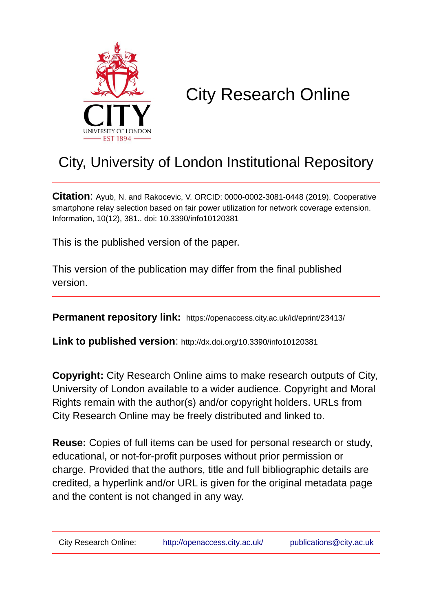

# City Research Online

## City, University of London Institutional Repository

**Citation**: Ayub, N. and Rakocevic, V. ORCID: 0000-0002-3081-0448 (2019). Cooperative smartphone relay selection based on fair power utilization for network coverage extension. Information, 10(12), 381.. doi: 10.3390/info10120381

This is the published version of the paper.

This version of the publication may differ from the final published version.

**Permanent repository link:** https://openaccess.city.ac.uk/id/eprint/23413/

**Link to published version**: http://dx.doi.org/10.3390/info10120381

**Copyright:** City Research Online aims to make research outputs of City, University of London available to a wider audience. Copyright and Moral Rights remain with the author(s) and/or copyright holders. URLs from City Research Online may be freely distributed and linked to.

**Reuse:** Copies of full items can be used for personal research or study, educational, or not-for-profit purposes without prior permission or charge. Provided that the authors, title and full bibliographic details are credited, a hyperlink and/or URL is given for the original metadata page and the content is not changed in any way.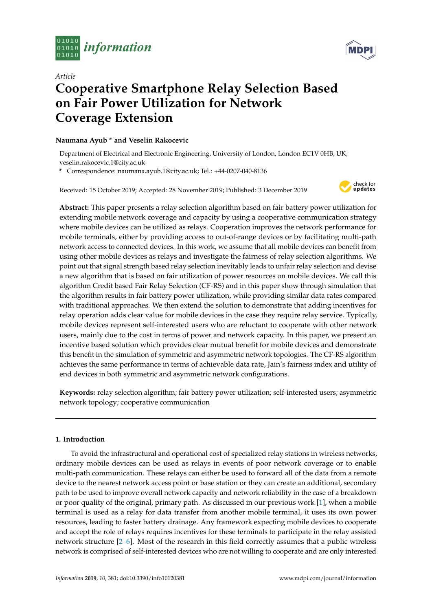



### *Article* **Cooperative Smartphone Relay Selection Based on Fair Power Utilization for Network Coverage Extension**

#### **Naumana Ayub \* and Veselin Rakocevic**

Department of Electrical and Electronic Engineering, University of London, London EC1V 0HB, UK; veselin.rakocevic.1@city.ac.uk

**\*** Correspondence: naumana.ayub.1@city.ac.uk; Tel.: +44-0207-040-8136

Received: 15 October 2019; Accepted: 28 November 2019; Published: 3 December 2019



**Abstract:** This paper presents a relay selection algorithm based on fair battery power utilization for extending mobile network coverage and capacity by using a cooperative communication strategy where mobile devices can be utilized as relays. Cooperation improves the network performance for mobile terminals, either by providing access to out-of-range devices or by facilitating multi-path network access to connected devices. In this work, we assume that all mobile devices can benefit from using other mobile devices as relays and investigate the fairness of relay selection algorithms. We point out that signal strength based relay selection inevitably leads to unfair relay selection and devise a new algorithm that is based on fair utilization of power resources on mobile devices. We call this algorithm Credit based Fair Relay Selection (CF-RS) and in this paper show through simulation that the algorithm results in fair battery power utilization, while providing similar data rates compared with traditional approaches. We then extend the solution to demonstrate that adding incentives for relay operation adds clear value for mobile devices in the case they require relay service. Typically, mobile devices represent self-interested users who are reluctant to cooperate with other network users, mainly due to the cost in terms of power and network capacity. In this paper, we present an incentive based solution which provides clear mutual benefit for mobile devices and demonstrate this benefit in the simulation of symmetric and asymmetric network topologies. The CF-RS algorithm achieves the same performance in terms of achievable data rate, Jain's fairness index and utility of end devices in both symmetric and asymmetric network configurations.

**Keywords:** relay selection algorithm; fair battery power utilization; self-interested users; asymmetric network topology; cooperative communication

#### **1. Introduction**

To avoid the infrastructural and operational cost of specialized relay stations in wireless networks, ordinary mobile devices can be used as relays in events of poor network coverage or to enable multi-path communication. These relays can either be used to forward all of the data from a remote device to the nearest network access point or base station or they can create an additional, secondary path to be used to improve overall network capacity and network reliability in the case of a breakdown or poor quality of the original, primary path. As discussed in our previous work [\[1\]](#page-18-0), when a mobile terminal is used as a relay for data transfer from another mobile terminal, it uses its own power resources, leading to faster battery drainage. Any framework expecting mobile devices to cooperate and accept the role of relays requires incentives for these terminals to participate in the relay assisted network structure [\[2](#page-18-1)[–6\]](#page-18-2). Most of the research in this field correctly assumes that a public wireless network is comprised of self-interested devices who are not willing to cooperate and are only interested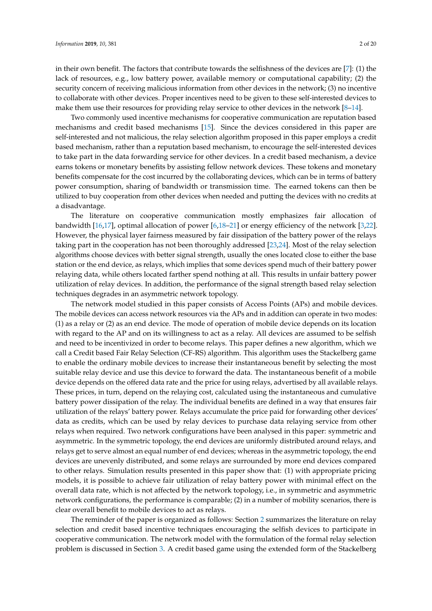make them use their resources for providing relay service to other devices in the network [\[8](#page-18-4)[–14\]](#page-18-5). Two commonly used incentive mechanisms for cooperative communication are reputation based mechanisms and credit based mechanisms [\[15\]](#page-18-6). Since the devices considered in this paper are self-interested and not malicious, the relay selection algorithm proposed in this paper employs a credit based mechanism, rather than a reputation based mechanism, to encourage the self-interested devices to take part in the data forwarding service for other devices. In a credit based mechanism, a device earns tokens or monetary benefits by assisting fellow network devices. These tokens and monetary benefits compensate for the cost incurred by the collaborating devices, which can be in terms of battery power consumption, sharing of bandwidth or transmission time. The earned tokens can then be utilized to buy cooperation from other devices when needed and putting the devices with no credits at a disadvantage.

The literature on cooperative communication mostly emphasizes fair allocation of bandwidth [\[16,](#page-18-7)[17\]](#page-19-0), optimal allocation of power [\[6](#page-18-2)[,18](#page-19-1)[–21\]](#page-19-2) or energy efficiency of the network [\[3,](#page-18-8)[22\]](#page-19-3). However, the physical layer fairness measured by fair dissipation of the battery power of the relays taking part in the cooperation has not been thoroughly addressed [\[23,](#page-19-4)[24\]](#page-19-5). Most of the relay selection algorithms choose devices with better signal strength, usually the ones located close to either the base station or the end device, as relays, which implies that some devices spend much of their battery power relaying data, while others located farther spend nothing at all. This results in unfair battery power utilization of relay devices. In addition, the performance of the signal strength based relay selection techniques degrades in an asymmetric network topology.

The network model studied in this paper consists of Access Points (APs) and mobile devices. The mobile devices can access network resources via the APs and in addition can operate in two modes: (1) as a relay or (2) as an end device. The mode of operation of mobile device depends on its location with regard to the AP and on its willingness to act as a relay. All devices are assumed to be selfish and need to be incentivized in order to become relays. This paper defines a new algorithm, which we call a Credit based Fair Relay Selection (CF-RS) algorithm. This algorithm uses the Stackelberg game to enable the ordinary mobile devices to increase their instantaneous benefit by selecting the most suitable relay device and use this device to forward the data. The instantaneous benefit of a mobile device depends on the offered data rate and the price for using relays, advertised by all available relays. These prices, in turn, depend on the relaying cost, calculated using the instantaneous and cumulative battery power dissipation of the relay. The individual benefits are defined in a way that ensures fair utilization of the relays' battery power. Relays accumulate the price paid for forwarding other devices' data as credits, which can be used by relay devices to purchase data relaying service from other relays when required. Two network configurations have been analysed in this paper: symmetric and asymmetric. In the symmetric topology, the end devices are uniformly distributed around relays, and relays get to serve almost an equal number of end devices; whereas in the asymmetric topology, the end devices are unevenly distributed, and some relays are surrounded by more end devices compared to other relays. Simulation results presented in this paper show that: (1) with appropriate pricing models, it is possible to achieve fair utilization of relay battery power with minimal effect on the overall data rate, which is not affected by the network topology, i.e., in symmetric and asymmetric network configurations, the performance is comparable; (2) in a number of mobility scenarios, there is clear overall benefit to mobile devices to act as relays.

The reminder of the paper is organized as follows: Section [2](#page-3-0) summarizes the literature on relay selection and credit based incentive techniques encouraging the selfish devices to participate in cooperative communication. The network model with the formulation of the formal relay selection problem is discussed in Section [3.](#page-4-0) A credit based game using the extended form of the Stackelberg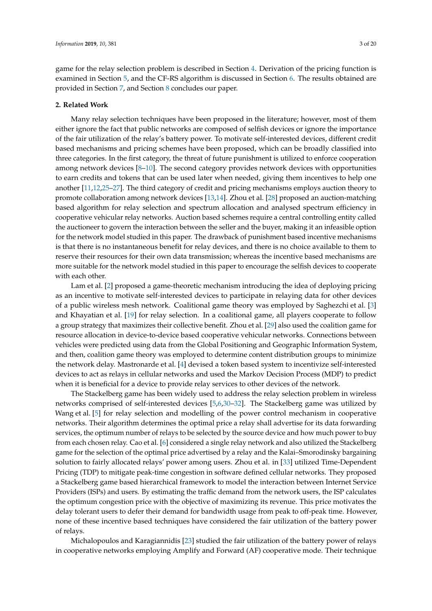game for the relay selection problem is described in Section [4.](#page-6-0) Derivation of the pricing function is examined in Section [5,](#page-9-0) and the CF-RS algorithm is discussed in Section [6.](#page-10-0) The results obtained are provided in Section [7,](#page-11-0) and Section [8](#page-17-0) concludes our paper.

#### <span id="page-3-0"></span>**2. Related Work**

Many relay selection techniques have been proposed in the literature; however, most of them either ignore the fact that public networks are composed of selfish devices or ignore the importance of the fair utilization of the relay's battery power. To motivate self-interested devices, different credit based mechanisms and pricing schemes have been proposed, which can be broadly classified into three categories. In the first category, the threat of future punishment is utilized to enforce cooperation among network devices  $[8-10]$  $[8-10]$ . The second category provides network devices with opportunities to earn credits and tokens that can be used later when needed, giving them incentives to help one another [\[11](#page-18-10)[,12,](#page-18-11)[25–](#page-19-6)[27\]](#page-19-7). The third category of credit and pricing mechanisms employs auction theory to promote collaboration among network devices [\[13,](#page-18-12)[14\]](#page-18-5). Zhou et al. [\[28\]](#page-19-8) proposed an auction-matching based algorithm for relay selection and spectrum allocation and analysed spectrum efficiency in cooperative vehicular relay networks. Auction based schemes require a central controlling entity called the auctioneer to govern the interaction between the seller and the buyer, making it an infeasible option for the network model studied in this paper. The drawback of punishment based incentive mechanisms is that there is no instantaneous benefit for relay devices, and there is no choice available to them to reserve their resources for their own data transmission; whereas the incentive based mechanisms are more suitable for the network model studied in this paper to encourage the selfish devices to cooperate with each other.

Lam et al. [\[2\]](#page-18-1) proposed a game-theoretic mechanism introducing the idea of deploying pricing as an incentive to motivate self-interested devices to participate in relaying data for other devices of a public wireless mesh network. Coalitional game theory was employed by Saghezchi et al. [\[3\]](#page-18-8) and Khayatian et al. [\[19\]](#page-19-9) for relay selection. In a coalitional game, all players cooperate to follow a group strategy that maximizes their collective benefit. Zhou et al. [\[29\]](#page-19-10) also used the coalition game for resource allocation in device-to-device based cooperative vehicular networks. Connections between vehicles were predicted using data from the Global Positioning and Geographic Information System, and then, coalition game theory was employed to determine content distribution groups to minimize the network delay. Mastronarde et al. [\[4\]](#page-18-13) devised a token based system to incentivize self-interested devices to act as relays in cellular networks and used the Markov Decision Process (MDP) to predict when it is beneficial for a device to provide relay services to other devices of the network.

The Stackelberg game has been widely used to address the relay selection problem in wireless networks comprised of self-interested devices [\[5,](#page-18-14)[6,](#page-18-2)[30–](#page-19-11)[32\]](#page-19-12). The Stackelberg game was utilized by Wang et al. [\[5\]](#page-18-14) for relay selection and modelling of the power control mechanism in cooperative networks. Their algorithm determines the optimal price a relay shall advertise for its data forwarding services, the optimum number of relays to be selected by the source device and how much power to buy from each chosen relay. Cao et al. [\[6\]](#page-18-2) considered a single relay network and also utilized the Stackelberg game for the selection of the optimal price advertised by a relay and the Kalai–Smorodinsky bargaining solution to fairly allocated relays' power among users. Zhou et al. in [\[33\]](#page-19-13) utilized Time-Dependent Pricing (TDP) to mitigate peak-time congestion in software defined cellular networks. They proposed a Stackelberg game based hierarchical framework to model the interaction between Internet Service Providers (ISPs) and users. By estimating the traffic demand from the network users, the ISP calculates the optimum congestion price with the objective of maximizing its revenue. This price motivates the delay tolerant users to defer their demand for bandwidth usage from peak to off-peak time. However, none of these incentive based techniques have considered the fair utilization of the battery power of relays.

Michalopoulos and Karagiannidis [\[23\]](#page-19-4) studied the fair utilization of the battery power of relays in cooperative networks employing Amplify and Forward (AF) cooperative mode. Their technique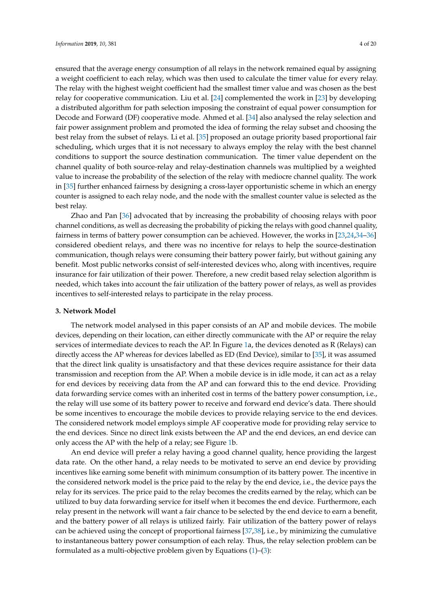ensured that the average energy consumption of all relays in the network remained equal by assigning a weight coefficient to each relay, which was then used to calculate the timer value for every relay. The relay with the highest weight coefficient had the smallest timer value and was chosen as the best relay for cooperative communication. Liu et al. [\[24\]](#page-19-5) complemented the work in [\[23\]](#page-19-4) by developing a distributed algorithm for path selection imposing the constraint of equal power consumption for Decode and Forward (DF) cooperative mode. Ahmed et al. [\[34\]](#page-19-14) also analysed the relay selection and fair power assignment problem and promoted the idea of forming the relay subset and choosing the best relay from the subset of relays. Li et al. [\[35\]](#page-19-15) proposed an outage priority based proportional fair scheduling, which urges that it is not necessary to always employ the relay with the best channel conditions to support the source destination communication. The timer value dependent on the channel quality of both source-relay and relay-destination channels was multiplied by a weighted value to increase the probability of the selection of the relay with mediocre channel quality. The work in [\[35\]](#page-19-15) further enhanced fairness by designing a cross-layer opportunistic scheme in which an energy counter is assigned to each relay node, and the node with the smallest counter value is selected as the best relay.

Zhao and Pan [\[36\]](#page-19-16) advocated that by increasing the probability of choosing relays with poor channel conditions, as well as decreasing the probability of picking the relays with good channel quality, fairness in terms of battery power consumption can be achieved. However, the works in [\[23,](#page-19-4)[24,](#page-19-5)[34](#page-19-14)[–36\]](#page-19-16) considered obedient relays, and there was no incentive for relays to help the source-destination communication, though relays were consuming their battery power fairly, but without gaining any benefit. Most public networks consist of self-interested devices who, along with incentives, require insurance for fair utilization of their power. Therefore, a new credit based relay selection algorithm is needed, which takes into account the fair utilization of the battery power of relays, as well as provides incentives to self-interested relays to participate in the relay process.

#### <span id="page-4-0"></span>**3. Network Model**

The network model analysed in this paper consists of an AP and mobile devices. The mobile devices, depending on their location, can either directly communicate with the AP or require the relay services of intermediate devices to reach the AP. In Figure [1a](#page-5-0), the devices denoted as R (Relays) can directly access the AP whereas for devices labelled as ED (End Device), similar to [\[35\]](#page-19-15), it was assumed that the direct link quality is unsatisfactory and that these devices require assistance for their data transmission and reception from the AP. When a mobile device is in idle mode, it can act as a relay for end devices by receiving data from the AP and can forward this to the end device. Providing data forwarding service comes with an inherited cost in terms of the battery power consumption, i.e., the relay will use some of its battery power to receive and forward end device's data. There should be some incentives to encourage the mobile devices to provide relaying service to the end devices. The considered network model employs simple AF cooperative mode for providing relay service to the end devices. Since no direct link exists between the AP and the end devices, an end device can only access the AP with the help of a relay; see Figure [1b](#page-5-0).

An end device will prefer a relay having a good channel quality, hence providing the largest data rate. On the other hand, a relay needs to be motivated to serve an end device by providing incentives like earning some benefit with minimum consumption of its battery power. The incentive in the considered network model is the price paid to the relay by the end device, i.e., the device pays the relay for its services. The price paid to the relay becomes the credits earned by the relay, which can be utilized to buy data forwarding service for itself when it becomes the end device. Furthermore, each relay present in the network will want a fair chance to be selected by the end device to earn a benefit, and the battery power of all relays is utilized fairly. Fair utilization of the battery power of relays can be achieved using the concept of proportional fairness [\[37](#page-19-17)[,38\]](#page-19-18), i.e., by minimizing the cumulative to instantaneous battery power consumption of each relay. Thus, the relay selection problem can be formulated as a multi-objective problem given by Equations [\(1\)](#page-5-1)–[\(3\)](#page-5-2):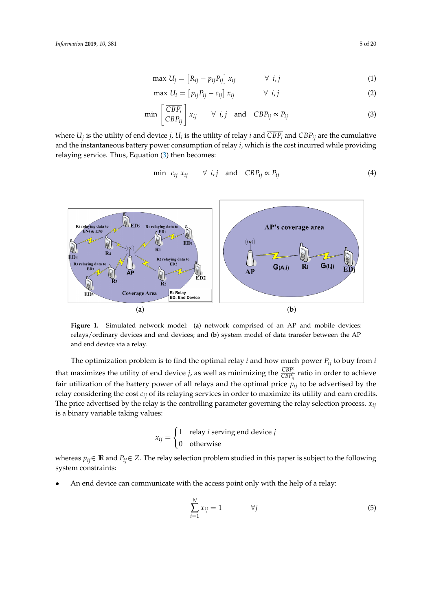<span id="page-5-1"></span>
$$
\max U_j = [R_{ij} - p_{ij}P_{ij}] x_{ij} \qquad \forall i, j \qquad (1)
$$

$$
\max U_i = [p_{ij}P_{ij} - c_{ij}] x_{ij} \qquad \forall i,j \qquad (2)
$$

<span id="page-5-2"></span>
$$
\min\left[\frac{\overline{CBP_i}}{\overline{CBP_{ij}}}\right]x_{ij} \quad \forall i,j \text{ and } CBP_{ij} \propto P_{ij}
$$
\n(3)

where  $U_j$  is the utility of end device *j*,  $U_i$  is the utility of relay *i* and  $CBP_i$  and  $CBP_{ij}$  are the cumulative and the instantaneous battery power consumption of relay *i*, which is the cost incurred while providing relaying service. Thus, Equation [\(3\)](#page-5-2) then becomes:

$$
\min \ c_{ij} \ x_{ij} \qquad \forall \ i, j \quad \text{and} \quad CBP_{ij} \propto P_{ij} \tag{4}
$$

<span id="page-5-0"></span>

**Figure 1.** Simulated network model: (**a**) network comprised of an AP and mobile devices: relays/ordinary devices and end devices; and (**b**) system model of data transfer between the AP and end device via a relay.

The optimization problem is to find the optimal relay *i* and how much power  $P_{ij}$  to buy from *i* that maximizes the utility of end device *j*, as well as minimizing the  $\frac{CBP_i}{CBP_{ij}}$  ratio in order to achieve fair utilization of the battery power of all relays and the optimal price *pij* to be advertised by the relay considering the cost *cij* of its relaying services in order to maximize its utility and earn credits. The price advertised by the relay is the controlling parameter governing the relay selection process. *xij* is a binary variable taking values:

$$
x_{ij} = \begin{cases} 1 & \text{relay } i \text{ serving end device } j \\ 0 & \text{otherwise} \end{cases}
$$

whereas *pij*∈ IR and *Pij*∈ *Z*. The relay selection problem studied in this paper is subject to the following system constraints:

An end device can communicate with the access point only with the help of a relay:

$$
\sum_{i=1}^{N} x_{ij} = 1 \qquad \forall j \tag{5}
$$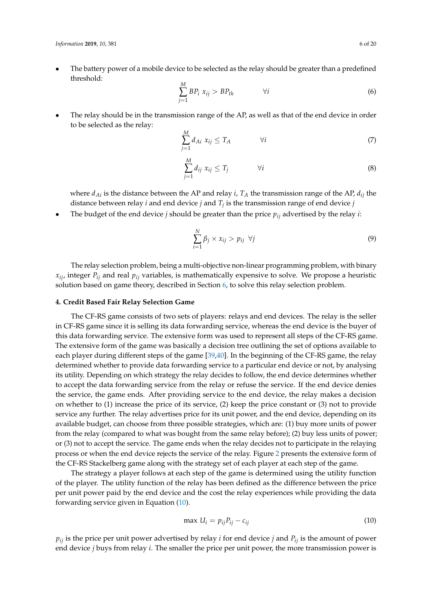The battery power of a mobile device to be selected as the relay should be greater than a predefined threshold:

$$
\sum_{j=1}^{M} BP_i \ x_{ij} > BP_{th} \qquad \qquad \forall i \tag{6}
$$

The relay should be in the transmission range of the AP, as well as that of the end device in order to be selected as the relay:

$$
\sum_{j=1}^{M} d_{Ai} x_{ij} \le T_A \qquad \forall i \tag{7}
$$

$$
\sum_{j=1}^{M} d_{ij} \ x_{ij} \le T_j \qquad \forall i \tag{8}
$$

where *dAi* is the distance between the AP and relay *i*, *T<sup>A</sup>* the transmission range of the AP, *dij* the distance between relay *i* and end device *j* and *T<sup>j</sup>* is the transmission range of end device *j*

The budget of the end device *j* should be greater than the price  $p_{ij}$  advertised by the relay *i*:

$$
\sum_{i=1}^{N} \beta_j \times x_{ij} > p_{ij} \ \forall j \tag{9}
$$

The relay selection problem, being a multi-objective non-linear programming problem, with binary  $x_{ij}$ , integer  $P_{ij}$  and real  $p_{ij}$  variables, is mathematically expensive to solve. We propose a heuristic solution based on game theory, described in Section [6,](#page-10-0) to solve this relay selection problem.

#### <span id="page-6-0"></span>**4. Credit Based Fair Relay Selection Game**

The CF-RS game consists of two sets of players: relays and end devices. The relay is the seller in CF-RS game since it is selling its data forwarding service, whereas the end device is the buyer of this data forwarding service. The extensive form was used to represent all steps of the CF-RS game. The extensive form of the game was basically a decision tree outlining the set of options available to each player during different steps of the game [\[39](#page-20-0)[,40\]](#page-20-1). In the beginning of the CF-RS game, the relay determined whether to provide data forwarding service to a particular end device or not, by analysing its utility. Depending on which strategy the relay decides to follow, the end device determines whether to accept the data forwarding service from the relay or refuse the service. If the end device denies the service, the game ends. After providing service to the end device, the relay makes a decision on whether to (1) increase the price of its service, (2) keep the price constant or (3) not to provide service any further. The relay advertises price for its unit power, and the end device, depending on its available budget, can choose from three possible strategies, which are: (1) buy more units of power from the relay (compared to what was bought from the same relay before); (2) buy less units of power; or (3) not to accept the service. The game ends when the relay decides not to participate in the relaying process or when the end device rejects the service of the relay. Figure [2](#page-7-0) presents the extensive form of the CF-RS Stackelberg game along with the strategy set of each player at each step of the game.

The strategy a player follows at each step of the game is determined using the utility function of the player. The utility function of the relay has been defined as the difference between the price per unit power paid by the end device and the cost the relay experiences while providing the data forwarding service given in Equation [\(10\)](#page-6-1).

<span id="page-6-1"></span>
$$
\max U_i = p_{ij} P_{ij} - c_{ij} \tag{10}
$$

*pij* is the price per unit power advertised by relay *i* for end device *j* and *Pij* is the amount of power end device *j* buys from relay *i*. The smaller the price per unit power, the more transmission power is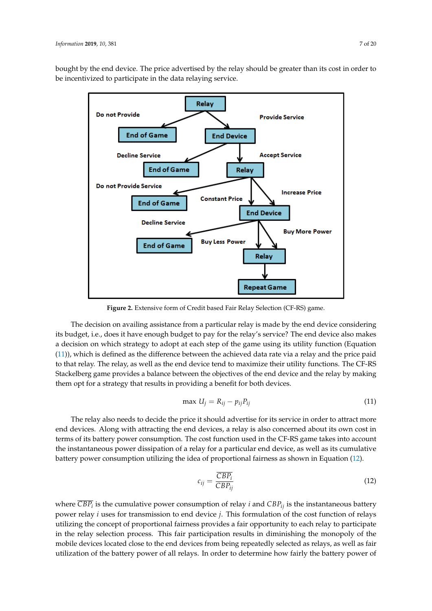<span id="page-7-0"></span>bought by the end device. The price advertised by the relay should be greater than its cost in order to be incentivized to participate in the data relaying service.



**Figure 2.** Extensive form of Credit based Fair Relay Selection (CF-RS) game.

The decision on availing assistance from a particular relay is made by the end device considering its budget, i.e., does it have enough budget to pay for the relay's service? The end device also makes a decision on which strategy to adopt at each step of the game using its utility function (Equation [\(11\)](#page-7-1)), which is defined as the difference between the achieved data rate via a relay and the price paid to that relay. The relay, as well as the end device tend to maximize their utility functions. The CF-RS Stackelberg game provides a balance between the objectives of the end device and the relay by making them opt for a strategy that results in providing a benefit for both devices.

<span id="page-7-1"></span>
$$
\max U_j = R_{ij} - p_{ij} P_{ij} \tag{11}
$$

The relay also needs to decide the price it should advertise for its service in order to attract more end devices. Along with attracting the end devices, a relay is also concerned about its own cost in terms of its battery power consumption. The cost function used in the CF-RS game takes into account the instantaneous power dissipation of a relay for a particular end device, as well as its cumulative battery power consumption utilizing the idea of proportional fairness as shown in Equation [\(12\)](#page-7-2).

<span id="page-7-2"></span>
$$
c_{ij} = \frac{\overline{CBP_i}}{CBP_{ij}} \tag{12}
$$

where *CBP<sup>i</sup>* is the cumulative power consumption of relay *i* and *CBPij* is the instantaneous battery power relay *i* uses for transmission to end device *j*. This formulation of the cost function of relays utilizing the concept of proportional fairness provides a fair opportunity to each relay to participate in the relay selection process. This fair participation results in diminishing the monopoly of the mobile devices located close to the end devices from being repeatedly selected as relays, as well as fair utilization of the battery power of all relays. In order to determine how fairly the battery power of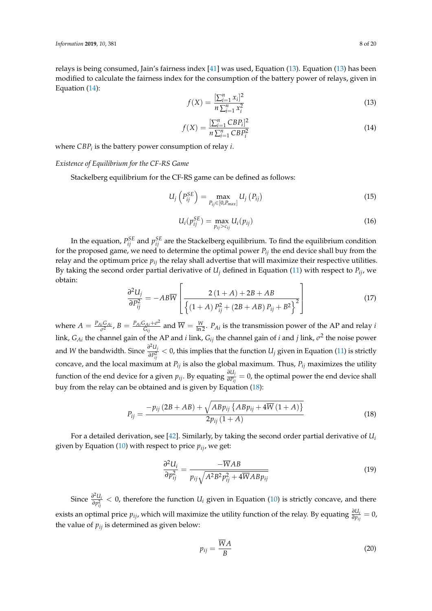relays is being consumed, Jain's fairness index [\[41\]](#page-20-2) was used, Equation [\(13\)](#page-8-0). Equation [\(13\)](#page-8-0) has been modified to calculate the fairness index for the consumption of the battery power of relays, given in Equation [\(14\)](#page-8-1):

<span id="page-8-0"></span>
$$
f(X) = \frac{\left[\sum_{i=1}^{n} x_i\right]^2}{n \sum_{i=1}^{n} x_i^2}
$$
\n(13)

<span id="page-8-1"></span>
$$
f(X) = \frac{\left[\sum_{i=1}^{n} CBP_i\right]^2}{n \sum_{i=1}^{n} CBP_i^2}
$$
\n(14)

where *CBP<sup>i</sup>* is the battery power consumption of relay *i*.

#### *Existence of Equilibrium for the CF-RS Game*

Stackelberg equilibrium for the CF-RS game can be defined as follows:

$$
U_j\left(P_{ij}^{SE}\right) = \max_{P_{ij}\in[0,P_{max}]} U_j\left(P_{ij}\right) \tag{15}
$$

$$
U_i(p_{ij}^{SE}) = \max_{p_{ij} > c_{ij}} U_i(p_{ij})
$$
\n(16)

In the equation,  $P_{ij}^{SE}$  and  $p_{ij}^{SE}$  are the Stackelberg equilibrium. To find the equilibrium condition for the proposed game, we need to determine the optimal power  $P_{ij}$  the end device shall buy from the relay and the optimum price *pij* the relay shall advertise that will maximize their respective utilities. By taking the second order partial derivative of  $U_j$  defined in Equation [\(11\)](#page-7-1) with respect to  $P_{ij}$ , we obtain:

$$
\frac{\partial^2 U_j}{\partial P_{ij}^2} = -AB\overline{W} \left[ \frac{2(1+A) + 2B + AB}{\left\{ (1+A) P_{ij}^2 + (2B + AB) P_{ij} + B^2 \right\}^2} \right]
$$
(17)

where  $A = \frac{P_{Ai}G_{Ai}}{\sigma^2}$  $\frac{d^2 G_{Ai}}{\sigma^2}$ ,  $B = \frac{P_{Ai} G_{Ai} + \sigma^2}{G_{ij}}$  $\frac{G_{Ai}+\sigma^2}{G_{ij}}$  and  $\overline{W}=\frac{W}{\ln 2}$ .  $P_{Ai}$  is the transmission power of the AP and relay *i* link, *GAi* the channel gain of the AP and *i* link, *Gij* the channel gain of *i* and *j* link, *σ* 2 the noise power and *W* the bandwidth. Since *<sup>∂</sup>* <sup>2</sup>*U<sup>j</sup>*  $\frac{\partial P_{ij}}{\partial P_{ii}^2}$  < 0, this implies that the function *U<sub>j</sub>* given in Equation [\(11\)](#page-7-1) is strictly *ij* concave, and the local maximum at *Pij* is also the global maximum. Thus, *Pij* maximizes the utility function of the end device for a given  $p_{ij}$ . By equating  $\frac{\partial U_j}{\partial P_{ij}} = 0$ , the optimal power the end device shall buy from the relay can be obtained and is given by Equation [\(18\)](#page-8-2):

<span id="page-8-2"></span>
$$
P_{ij} = \frac{-p_{ij}(2B + AB) + \sqrt{ABp_{ij} \{ABp_{ij} + 4\overline{W}(1+A)\} }}{2p_{ij}(1+A)}
$$
(18)

For a detailed derivation, see [\[42\]](#page-20-3). Similarly, by taking the second order partial derivative of *U<sup>i</sup>* given by Equation [\(10\)](#page-6-1) with respect to price *pij*, we get:

$$
\frac{\partial^2 U_i}{\partial p_{ij}^2} = \frac{-\overline{W}AB}{p_{ij}\sqrt{A^2B^2p_{ij}^2 + 4\overline{W}ABp_{ij}}}
$$
(19)

Since *<sup>∂</sup>* <sup>2</sup>*U<sup>i</sup>*  $\frac{\partial^2 U_i}{\partial p_{ij}^2}$  < 0, therefore the function *U<sub>i</sub>* given in Equation [\(10\)](#page-6-1) is strictly concave, and there exists an optimal price  $p_{ij}$ , which will maximize the utility function of the relay. By equating  $\frac{\partial U_i}{\partial p_{ij}} = 0$ , the value of  $p_{ij}$  is determined as given below:

<span id="page-8-3"></span>
$$
p_{ij} = \frac{\overline{W}A}{B} \tag{20}
$$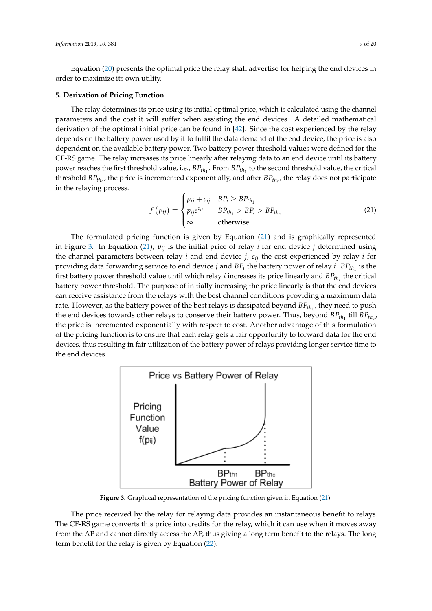Equation [\(20\)](#page-8-3) presents the optimal price the relay shall advertise for helping the end devices in order to maximize its own utility.

#### <span id="page-9-0"></span>**5. Derivation of Pricing Function**

The relay determines its price using its initial optimal price, which is calculated using the channel parameters and the cost it will suffer when assisting the end devices. A detailed mathematical derivation of the optimal initial price can be found in [\[42\]](#page-20-3). Since the cost experienced by the relay depends on the battery power used by it to fulfil the data demand of the end device, the price is also dependent on the available battery power. Two battery power threshold values were defined for the CF-RS game. The relay increases its price linearly after relaying data to an end device until its battery power reaches the first threshold value, i.e.,  $BP_{th_1}$ . From  $BP_{th_1}$  to the second threshold value, the critical threshold *BPth<sup>c</sup>* , the price is incremented exponentially, and after *BPth<sup>c</sup>* , the relay does not participate in the relaying process.

<span id="page-9-1"></span>
$$
f(p_{ij}) = \begin{cases} p_{ij} + c_{ij} & BP_i \ge BP_{th_1} \\ p_{ij}e^{c_{ij}} & BP_{th_1} > BP_i > BP_{th_c} \\ \infty & \text{otherwise} \end{cases}
$$
 (21)

The formulated pricing function is given by Equation [\(21\)](#page-9-1) and is graphically represented in Figure [3.](#page-9-2) In Equation [\(21\)](#page-9-1),  $p_{ij}$  is the initial price of relay *i* for end device *j* determined using the channel parameters between relay *i* and end device *j*, *cij* the cost experienced by relay *i* for providing data forwarding service to end device  $j$  and  $BP_i$  the battery power of relay  $i$ .  $BP_{th_1}$  is the first battery power threshold value until which relay *i* increases its price linearly and  $BP_{th_c}$  the critical battery power threshold. The purpose of initially increasing the price linearly is that the end devices can receive assistance from the relays with the best channel conditions providing a maximum data rate. However, as the battery power of the best relays is dissipated beyond  $BP_{th_1}$ , they need to push the end devices towards other relays to conserve their battery power. Thus, beyond  $BP_{th_1}$  till  $BP_{th_c}$ , the price is incremented exponentially with respect to cost. Another advantage of this formulation of the pricing function is to ensure that each relay gets a fair opportunity to forward data for the end devices, thus resulting in fair utilization of the battery power of relays providing longer service time to the end devices.

<span id="page-9-2"></span>

**Figure 3.** Graphical representation of the pricing function given in Equation [\(21\)](#page-9-1).

The price received by the relay for relaying data provides an instantaneous benefit to relays. The CF-RS game converts this price into credits for the relay, which it can use when it moves away from the AP and cannot directly access the AP, thus giving a long term benefit to the relays. The long term benefit for the relay is given by Equation [\(22\)](#page-10-1).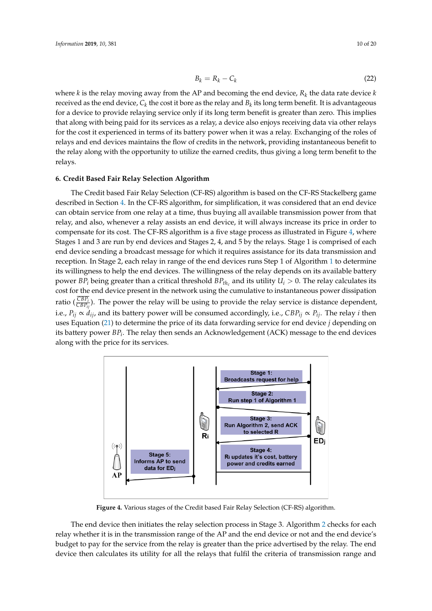<span id="page-10-1"></span>
$$
B_k = R_k - C_k \tag{22}
$$

where *k* is the relay moving away from the AP and becoming the end device, *R<sup>k</sup>* the data rate device *k* received as the end device,  $C_k$  the cost it bore as the relay and  $B_k$  its long term benefit. It is advantageous for a device to provide relaying service only if its long term benefit is greater than zero. This implies that along with being paid for its services as a relay, a device also enjoys receiving data via other relays for the cost it experienced in terms of its battery power when it was a relay. Exchanging of the roles of relays and end devices maintains the flow of credits in the network, providing instantaneous benefit to the relay along with the opportunity to utilize the earned credits, thus giving a long term benefit to the relays.

#### <span id="page-10-0"></span>**6. Credit Based Fair Relay Selection Algorithm**

The Credit based Fair Relay Selection (CF-RS) algorithm is based on the CF-RS Stackelberg game described in Section [4.](#page-6-0) In the CF-RS algorithm, for simplification, it was considered that an end device can obtain service from one relay at a time, thus buying all available transmission power from that relay, and also, whenever a relay assists an end device, it will always increase its price in order to compensate for its cost. The CF-RS algorithm is a five stage process as illustrated in Figure [4,](#page-10-2) where Stages 1 and 3 are run by end devices and Stages 2, 4, and 5 by the relays. Stage 1 is comprised of each end device sending a broadcast message for which it requires assistance for its data transmission and reception. In Stage 2, each relay in range of the end devices runs Step 1 of Algorithm [1](#page-11-1) to determine its willingness to help the end devices. The willingness of the relay depends on its available battery power  $BP_i$  being greater than a critical threshold  $BP_{th_c}$  and its utility  $U_i > 0$ . The relay calculates its cost for the end device present in the network using the cumulative to instantaneous power dissipation ratio  $(\frac{CBP_i}{CBP_{ij}})$ . The power the relay will be using to provide the relay service is distance dependent, i.e.,  $P_{ij}$  ∝  $d_{ij}$ , and its battery power will be consumed accordingly, i.e., *CBP*<sub>*ij*</sub> ∝ *P*<sub>*ij*</sub>. The relay *i* then uses Equation [\(21\)](#page-9-1) to determine the price of its data forwarding service for end device *j* depending on its battery power *BP<sup>i</sup>* . The relay then sends an Acknowledgement (ACK) message to the end devices along with the price for its services.

<span id="page-10-2"></span>

**Figure 4.** Various stages of the Credit based Fair Relay Selection (CF-RS) algorithm.

The end device then initiates the relay selection process in Stage 3. Algorithm [2](#page-11-2) checks for each relay whether it is in the transmission range of the AP and the end device or not and the end device's budget to pay for the service from the relay is greater than the price advertised by the relay. The end device then calculates its utility for all the relays that fulfil the criteria of transmission range and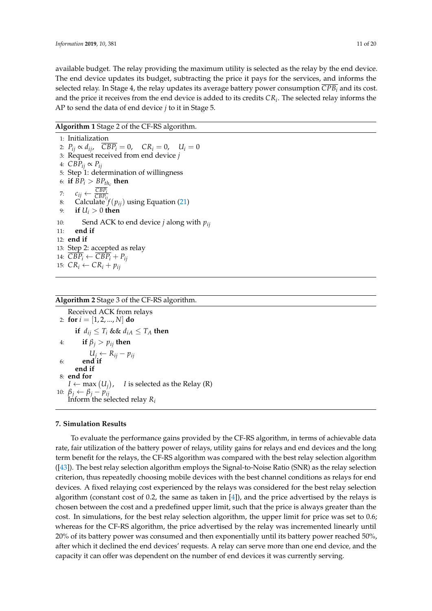available budget. The relay providing the maximum utility is selected as the relay by the end device. The end device updates its budget, subtracting the price it pays for the services, and informs the selected relay. In Stage 4, the relay updates its average battery power consumption *CPB<sup>i</sup>* and its cost. and the price it receives from the end device is added to its credits *CR<sup>i</sup>* . The selected relay informs the AP to send the data of end device *j* to it in Stage 5.

#### <span id="page-11-1"></span>**Algorithm 1** Stage 2 of the CF-RS algorithm.

1: Initialization 2:  $P_{ii} \propto d_{ii}$ ,  $CBP_i = 0$ ,  $CR_i = 0$ ,  $U_i = 0$ 3: Request received from end device *j* 4:  $CBP_{ii} \propto P_{ii}$ 5: Step 1: determination of willingness 6: **if**  $BP_i > BP_{th_c}$  then 7:  $c_{ij} \leftarrow \frac{CBP_i}{CBP_{ij}}$ 8: Calculate<sup>*rif*</sup>( $p_{ij}$ ) using Equation [\(21\)](#page-9-1) 9: **if**  $U_i > 0$  then 10: Send ACK to end device *j* along with *pij* 11: **end if** 12: **end if** 13: Step 2: accepted as relay 14:  $CBP_i \leftarrow CBP_i + P_{ij}$ 15:  $CR_i \leftarrow CR_i + p_{ii}$ 

#### <span id="page-11-2"></span>**Algorithm 2** Stage 3 of the CF-RS algorithm.

Received ACK from relays 2: **for**  $i = [1, 2, ..., N]$  **do if**  $d_{ij} \leq T_i$  &&  $d_{iA} \leq T_A$  **then** 4: **if**  $\beta_j > p_{ij}$  **then**  $U_j$  ←  $R_{ij}$  –  $p_{ij}$ 6: **end if end if** 8: **end for**  $I \leftarrow \max(U_j)$ *I* is selected as the Relay (R) 10:  $\beta_i \leftarrow \beta_i - p_{ij}$ Inform the selected relay *R<sup>i</sup>*

#### <span id="page-11-0"></span>**7. Simulation Results**

To evaluate the performance gains provided by the CF-RS algorithm, in terms of achievable data rate, fair utilization of the battery power of relays, utility gains for relays and end devices and the long term benefit for the relays, the CF-RS algorithm was compared with the best relay selection algorithm ([\[43\]](#page-20-4)). The best relay selection algorithm employs the Signal-to-Noise Ratio (SNR) as the relay selection criterion, thus repeatedly choosing mobile devices with the best channel conditions as relays for end devices. A fixed relaying cost experienced by the relays was considered for the best relay selection algorithm (constant cost of 0.2, the same as taken in  $[4]$ ), and the price advertised by the relays is chosen between the cost and a predefined upper limit, such that the price is always greater than the cost. In simulations, for the best relay selection algorithm, the upper limit for price was set to 0.6; whereas for the CF-RS algorithm, the price advertised by the relay was incremented linearly until 20% of its battery power was consumed and then exponentially until its battery power reached 50%, after which it declined the end devices' requests. A relay can serve more than one end device, and the capacity it can offer was dependent on the number of end devices it was currently serving.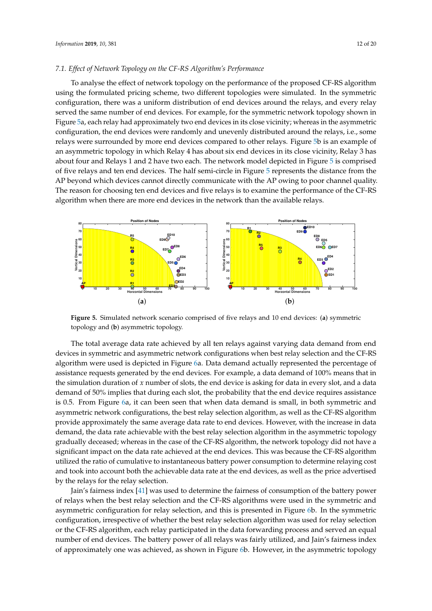#### *7.1. Effect of Network Topology on the CF-RS Algorithm's Performance*

To analyse the effect of network topology on the performance of the proposed CF-RS algorithm using the formulated pricing scheme, two different topologies were simulated. In the symmetric configuration, there was a uniform distribution of end devices around the relays, and every relay served the same number of end devices. For example, for the symmetric network topology shown in Figure [5a](#page-12-0), each relay had approximately two end devices in its close vicinity; whereas in the asymmetric configuration, the end devices were randomly and unevenly distributed around the relays, i.e., some relays were surrounded by more end devices compared to other relays. Figure [5b](#page-12-0) is an example of an asymmetric topology in which Relay 4 has about six end devices in its close vicinity, Relay 3 has about four and Relays 1 and 2 have two each. The network model depicted in Figure [5](#page-12-0) is comprised of five relays and ten end devices. The half semi-circle in Figure [5](#page-12-0) represents the distance from the AP beyond which devices cannot directly communicate with the AP owing to poor channel quality. The reason for choosing ten end devices and five relays is to examine the performance of the CF-RS algorithm when there are more end devices in the network than the available relays.

<span id="page-12-0"></span>

**Figure 5.** Simulated network scenario comprised of five relays and 10 end devices: (**a**) symmetric topology and (**b**) asymmetric topology.

The total average data rate achieved by all ten relays against varying data demand from end devices in symmetric and asymmetric network configurations when best relay selection and the CF-RS algorithm were used is depicted in Figure [6a](#page-13-0). Data demand actually represented the percentage of assistance requests generated by the end devices. For example, a data demand of 100% means that in the simulation duration of *x* number of slots, the end device is asking for data in every slot, and a data demand of 50% implies that during each slot, the probability that the end device requires assistance is 0.5. From Figure [6a](#page-13-0), it can been seen that when data demand is small, in both symmetric and asymmetric network configurations, the best relay selection algorithm, as well as the CF-RS algorithm provide approximately the same average data rate to end devices. However, with the increase in data demand, the data rate achievable with the best relay selection algorithm in the asymmetric topology gradually deceased; whereas in the case of the CF-RS algorithm, the network topology did not have a significant impact on the data rate achieved at the end devices. This was because the CF-RS algorithm utilized the ratio of cumulative to instantaneous battery power consumption to determine relaying cost and took into account both the achievable data rate at the end devices, as well as the price advertised by the relays for the relay selection.

Jain's fairness index [\[41\]](#page-20-2) was used to determine the fairness of consumption of the battery power of relays when the best relay selection and the CF-RS algorithms were used in the symmetric and asymmetric configuration for relay selection, and this is presented in Figure [6b](#page-13-0). In the symmetric configuration, irrespective of whether the best relay selection algorithm was used for relay selection or the CF-RS algorithm, each relay participated in the data forwarding process and served an equal number of end devices. The battery power of all relays was fairly utilized, and Jain's fairness index of approximately one was achieved, as shown in Figure [6b](#page-13-0). However, in the asymmetric topology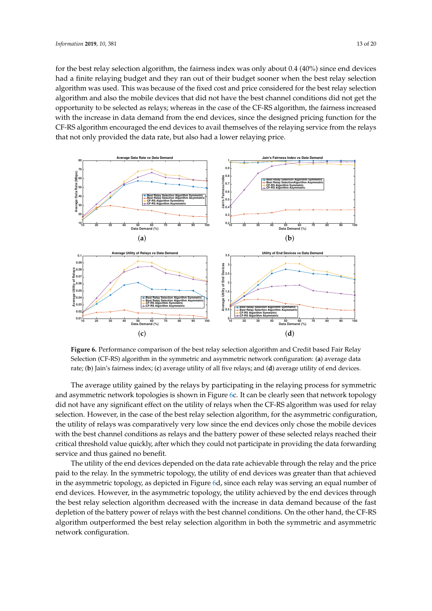for the best relay selection algorithm, the fairness index was only about 0.4 (40%) since end devices had a finite relaying budget and they ran out of their budget sooner when the best relay selection algorithm was used. This was because of the fixed cost and price considered for the best relay selection algorithm and also the mobile devices that did not have the best channel conditions did not get the opportunity to be selected as relays; whereas in the case of the CF-RS algorithm, the fairness increased with the increase in data demand from the end devices, since the designed pricing function for the CF-RS algorithm encouraged the end devices to avail themselves of the relaying service from the relays that not only provided the data rate, but also had a lower relaying price.

<span id="page-13-0"></span>

**Figure 6.** Performance comparison of the best relay selection algorithm and Credit based Fair Relay Selection (CF-RS) algorithm in the symmetric and asymmetric network configuration: (**a**) average data rate; (**b**) Jain's fairness index; (**c**) average utility of all five relays; and (**d**) average utility of end devices.

The average utility gained by the relays by participating in the relaying process for symmetric and asymmetric network topologies is shown in Figure [6c](#page-13-0). It can be clearly seen that network topology did not have any significant effect on the utility of relays when the CF-RS algorithm was used for relay selection. However, in the case of the best relay selection algorithm, for the asymmetric configuration, the utility of relays was comparatively very low since the end devices only chose the mobile devices with the best channel conditions as relays and the battery power of these selected relays reached their critical threshold value quickly, after which they could not participate in providing the data forwarding service and thus gained no benefit.

The utility of the end devices depended on the data rate achievable through the relay and the price paid to the relay. In the symmetric topology, the utility of end devices was greater than that achieved in the asymmetric topology, as depicted in Figure [6d](#page-13-0), since each relay was serving an equal number of end devices. However, in the asymmetric topology, the utility achieved by the end devices through the best relay selection algorithm decreased with the increase in data demand because of the fast depletion of the battery power of relays with the best channel conditions. On the other hand, the CF-RS algorithm outperformed the best relay selection algorithm in both the symmetric and asymmetric network configuration.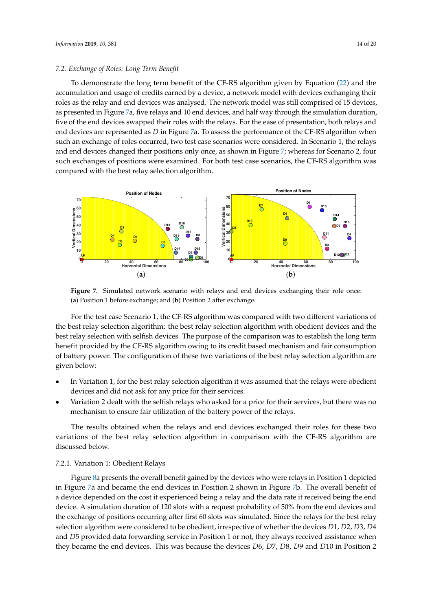#### *7.2. Exchange of Roles: Long Term Benefit*

To demonstrate the long term benefit of the CF-RS algorithm given by Equation [\(22\)](#page-10-1) and the accumulation and usage of credits earned by a device, a network model with devices exchanging their roles as the relay and end devices was analysed. The network model was still comprised of 15 devices, as presented in Figure [7a](#page-14-0), five relays and 10 end devices, and half way through the simulation duration, five of the end devices swapped their roles with the relays. For the ease of presentation, both relays and end devices are represented as *D* in Figure [7a](#page-14-0). To assess the performance of the CF-RS algorithm when such an exchange of roles occurred, two test case scenarios were considered. In Scenario 1, the relays and end devices changed their positions only once, as shown in Figure [7;](#page-14-0) whereas for Scenario 2, four such exchanges of positions were examined. For both test case scenarios, the CF-RS algorithm was compared with the best relay selection algorithm.

<span id="page-14-0"></span>

**Figure 7.** Simulated network scenario with relays and end devices exchanging their role once: (**a**) Position 1 before exchange; and (**b**) Position 2 after exchange.

For the test case Scenario 1, the CF-RS algorithm was compared with two different variations of the best relay selection algorithm: the best relay selection algorithm with obedient devices and the best relay selection with selfish devices. The purpose of the comparison was to establish the long term benefit provided by the CF-RS algorithm owing to its credit based mechanism and fair consumption of battery power. The configuration of these two variations of the best relay selection algorithm are given below:

- In Variation 1, for the best relay selection algorithm it was assumed that the relays were obedient devices and did not ask for any price for their services.
- Variation 2 dealt with the selfish relays who asked for a price for their services, but there was no mechanism to ensure fair utilization of the battery power of the relays.

The results obtained when the relays and end devices exchanged their roles for these two variations of the best relay selection algorithm in comparison with the CF-RS algorithm are discussed below.

#### 7.2.1. Variation 1: Obedient Relays

Figure [8a](#page-15-0) presents the overall benefit gained by the devices who were relays in Position 1 depicted in Figure [7a](#page-14-0) and became the end devices in Position 2 shown in Figure [7b](#page-14-0). The overall benefit of a device depended on the cost it experienced being a relay and the data rate it received being the end device. A simulation duration of 120 slots with a request probability of 50% from the end devices and the exchange of positions occurring after first 60 slots was simulated. Since the relays for the best relay selection algorithm were considered to be obedient, irrespective of whether the devices *D*1, *D*2, *D*3, *D*4 and *D*5 provided data forwarding service in Position 1 or not, they always received assistance when they became the end devices. This was because the devices *D*6, *D*7, *D*8, *D*9 and *D*10 in Position 2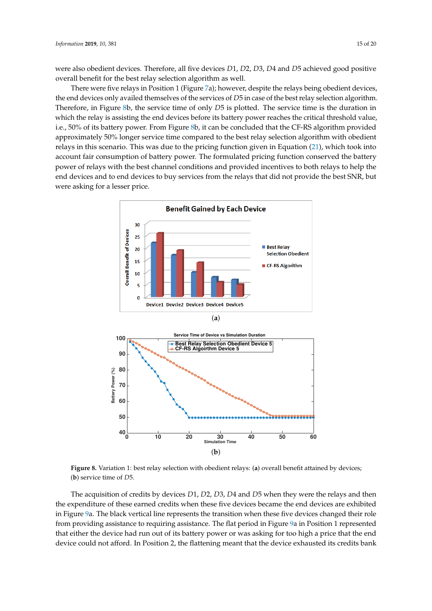were also obedient devices. Therefore, all five devices *D*1, *D*2, *D*3, *D*4 and *D*5 achieved good positive overall benefit for the best relay selection algorithm as well.

There were five relays in Position 1 (Figure [7a](#page-14-0)); however, despite the relays being obedient devices, the end devices only availed themselves of the services of *D*5 in case of the best relay selection algorithm. Therefore, in Figure [8b](#page-15-0), the service time of only *D*5 is plotted. The service time is the duration in which the relay is assisting the end devices before its battery power reaches the critical threshold value, i.e., 50% of its battery power. From Figure [8b](#page-15-0), it can be concluded that the CF-RS algorithm provided approximately 50% longer service time compared to the best relay selection algorithm with obedient relays in this scenario. This was due to the pricing function given in Equation [\(21\)](#page-9-1), which took into account fair consumption of battery power. The formulated pricing function conserved the battery power of relays with the best channel conditions and provided incentives to both relays to help the end devices and to end devices to buy services from the relays that did not provide the best SNR, but were asking for a lesser price.

<span id="page-15-0"></span>

**Figure 8.** Variation 1: best relay selection with obedient relays: (**a**) overall benefit attained by devices; (**b**) service time of *D*5.

The acquisition of credits by devices *D*1, *D*2, *D*3, *D*4 and *D*5 when they were the relays and then the expenditure of these earned credits when these five devices became the end devices are exhibited in Figure [9a](#page-16-0). The black vertical line represents the transition when these five devices changed their role from providing assistance to requiring assistance. The flat period in Figure [9a](#page-16-0) in Position 1 represented that either the device had run out of its battery power or was asking for too high a price that the end device could not afford. In Position 2, the flattening meant that the device exhausted its credits bank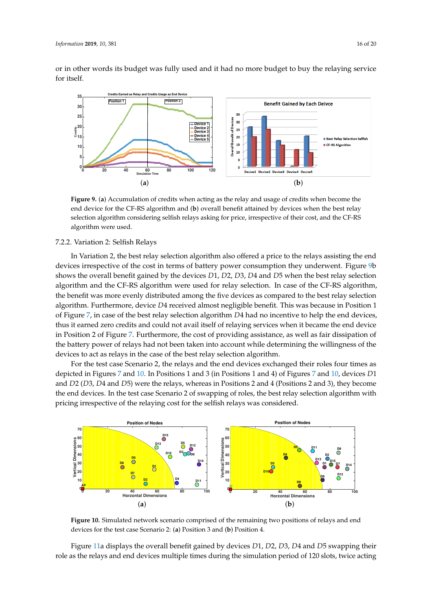or in other words its budget was fully used and it had no more budget to buy the relaying service for itself.

<span id="page-16-0"></span>

**Figure 9.** (**a**) Accumulation of credits when acting as the relay and usage of credits when become the end device for the CF-RS algorithm and (**b**) overall benefit attained by devices when the best relay selection algorithm considering selfish relays asking for price, irrespective of their cost, and the CF-RS algorithm were used.

#### 7.2.2. Variation 2: Selfish Relays

In Variation 2, the best relay selection algorithm also offered a price to the relays assisting the end devices irrespective of the cost in terms of battery power consumption they underwent. Figure [9b](#page-16-0) shows the overall benefit gained by the devices *D*1, *D*2, *D*3, *D*4 and *D*5 when the best relay selection algorithm and the CF-RS algorithm were used for relay selection. In case of the CF-RS algorithm, the benefit was more evenly distributed among the five devices as compared to the best relay selection algorithm. Furthermore, device *D*4 received almost negligible benefit. This was because in Position 1 of Figure [7,](#page-14-0) in case of the best relay selection algorithm *D*4 had no incentive to help the end devices, thus it earned zero credits and could not avail itself of relaying services when it became the end device in Position 2 of Figure [7.](#page-14-0) Furthermore, the cost of providing assistance, as well as fair dissipation of the battery power of relays had not been taken into account while determining the willingness of the devices to act as relays in the case of the best relay selection algorithm.

For the test case Scenario 2, the relays and the end devices exchanged their roles four times as depicted in Figures [7](#page-14-0) and [10.](#page-16-1) In Positions 1 and 3 (in Positions 1 and 4) of Figures [7](#page-14-0) and [10,](#page-16-1) devices *D*1 and *D*2 (*D*3, *D*4 and *D*5) were the relays, whereas in Positions 2 and 4 (Positions 2 and 3), they become the end devices. In the test case Scenario 2 of swapping of roles, the best relay selection algorithm with pricing irrespective of the relaying cost for the selfish relays was considered.

<span id="page-16-1"></span>

**Figure 10.** Simulated network scenario comprised of the remaining two positions of relays and end devices for the test case Scenario 2: (**a**) Position 3 and (**b**) Position 4.

Figure [11a](#page-17-1) displays the overall benefit gained by devices *D*1, *D*2, *D*3, *D*4 and *D*5 swapping their role as the relays and end devices multiple times during the simulation period of 120 slots, twice acting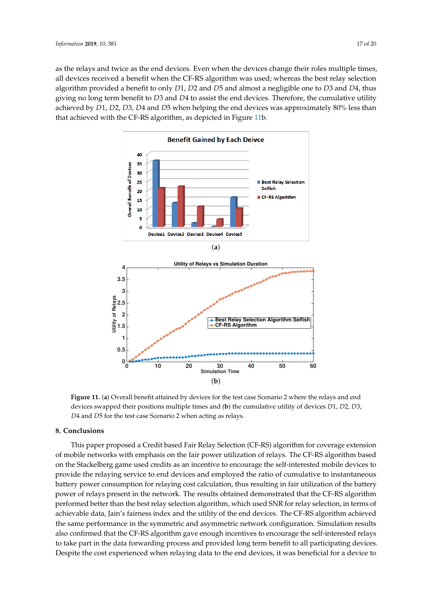as the relays and twice as the end devices. Even when the devices change their roles multiple times, all devices received a benefit when the CF-RS algorithm was used; whereas the best relay selection algorithm provided a benefit to only *D*1, *D*2 and *D*5 and almost a negligible one to *D*3 and *D*4, thus giving no long term benefit to *D*3 and *D*4 to assist the end devices. Therefore, the cumulative utility achieved by *D*1, *D*2, *D*3, *D*4 and *D*5 when helping the end devices was approximately 80% less than that achieved with the CF-RS algorithm, as depicted in Figure [11b](#page-17-1).

<span id="page-17-1"></span>

**Figure 11.** (**a**) Overall benefit attained by devices for the test case Scenario 2 where the relays and end devices swapped their positions multiple times and (**b**) the cumulative utility of devices *D*1, *D*2, *D*3, *D*4 and *D*5 for the test case Scenario 2 when acting as relays.

#### <span id="page-17-0"></span>**8. Conclusions**

This paper proposed a Credit based Fair Relay Selection (CF-RS) algorithm for coverage extension of mobile networks with emphasis on the fair power utilization of relays. The CF-RS algorithm based on the Stackelberg game used credits as an incentive to encourage the self-interested mobile devices to provide the relaying service to end devices and employed the ratio of cumulative to instantaneous battery power consumption for relaying cost calculation, thus resulting in fair utilization of the battery power of relays present in the network. The results obtained demonstrated that the CF-RS algorithm performed better than the best relay selection algorithm, which used SNR for relay selection, in terms of achievable data, Jain's fairness index and the utility of the end devices. The CF-RS algorithm achieved the same performance in the symmetric and asymmetric network configuration. Simulation results also confirmed that the CF-RS algorithm gave enough incentives to encourage the self-interested relays to take part in the data forwarding process and provided long term benefit to all participating devices. Despite the cost experienced when relaying data to the end devices, it was beneficial for a device to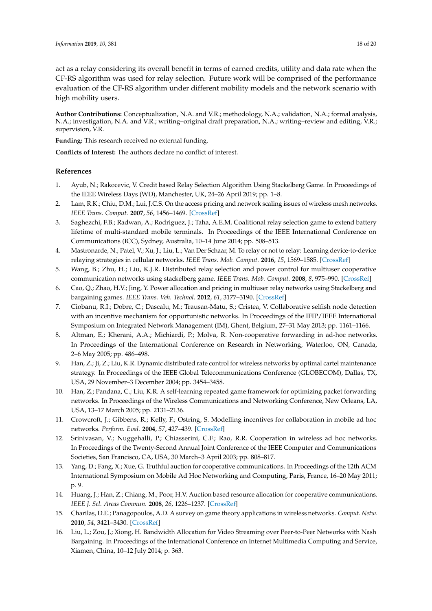act as a relay considering its overall benefit in terms of earned credits, utility and data rate when the CF-RS algorithm was used for relay selection. Future work will be comprised of the performance evaluation of the CF-RS algorithm under different mobility models and the network scenario with high mobility users.

**Author Contributions:** Conceptualization, N.A. and V.R.; methodology, N.A.; validation, N.A.; formal analysis, N.A.; investigation, N.A. and V.R.; writing–original draft preparation, N.A.; writing–review and editing, V.R.; supervision, V.R.

**Funding:** This research received no external funding.

**Conflicts of Interest:** The authors declare no conflict of interest.

#### **References**

- <span id="page-18-0"></span>1. Ayub, N.; Rakocevic, V. Credit based Relay Selection Algorithm Using Stackelberg Game. In Proceedings of the IEEE Wireless Days (WD), Manchester, UK, 24–26 April 2019; pp. 1–8.
- <span id="page-18-1"></span>2. Lam, R.K.; Chiu, D.M.; Lui, J.C.S. On the access pricing and network scaling issues of wireless mesh networks. *IEEE Trans. Comput.* **2007**, *56*, 1456–1469. [\[CrossRef\]](http://dx.doi.org/10.1109/TC.2007.70753)
- <span id="page-18-8"></span>3. Saghezchi, F.B.; Radwan, A.; Rodriguez, J.; Taha, A.E.M. Coalitional relay selection game to extend battery lifetime of multi-standard mobile terminals. In Proceedings of the IEEE International Conference on Communications (ICC), Sydney, Australia, 10–14 June 2014; pp. 508–513.
- <span id="page-18-13"></span>4. Mastronarde, N.; Patel, V.; Xu, J.; Liu, L.; Van Der Schaar, M. To relay or not to relay: Learning device-to-device relaying strategies in cellular networks. *IEEE Trans. Mob. Comput.* **2016**, *15*, 1569–1585. [\[CrossRef\]](http://dx.doi.org/10.1109/TMC.2015.2465379)
- <span id="page-18-14"></span>5. Wang, B.; Zhu, H.; Liu, K.J.R. Distributed relay selection and power control for multiuser cooperative communication networks using stackelberg game. *IEEE Trans. Mob. Comput.* **2008**, *8*, 975–990. [\[CrossRef\]](http://dx.doi.org/10.1109/TMC.2008.153)
- <span id="page-18-2"></span>6. Cao, Q.; Zhao, H.V.; Jing, Y. Power allocation and pricing in multiuser relay networks using Stackelberg and bargaining games. *IEEE Trans. Veh. Technol.* **2012**, *61*, 3177–3190. [\[CrossRef\]](http://dx.doi.org/10.1109/TVT.2012.2204076)
- <span id="page-18-3"></span>7. Ciobanu, R.I.; Dobre, C.; Dascalu, M.; Trausan-Matu, S.; Cristea, V. Collaborative selfish node detection with an incentive mechanism for opportunistic networks. In Proceedings of the IFIP/IEEE International Symposium on Integrated Network Management (IM), Ghent, Belgium, 27–31 May 2013; pp. 1161–1166.
- <span id="page-18-4"></span>8. Altman, E.; Kherani, A.A.; Michiardi, P.; Molva, R. Non-cooperative forwarding in ad-hoc networks. In Proceedings of the International Conference on Research in Networking, Waterloo, ON, Canada, 2–6 May 2005; pp. 486–498.
- 9. Han, Z.; Ji, Z.; Liu, K.R. Dynamic distributed rate control for wireless networks by optimal cartel maintenance strategy. In Proceedings of the IEEE Global Telecommunications Conference (GLOBECOM), Dallas, TX, USA, 29 November–3 December 2004; pp. 3454–3458.
- <span id="page-18-9"></span>10. Han, Z.; Pandana, C.; Liu, K.R. A self-learning repeated game framework for optimizing packet forwarding networks. In Proceedings of the Wireless Communications and Networking Conference, New Orleans, LA, USA, 13–17 March 2005; pp. 2131–2136.
- <span id="page-18-10"></span>11. Crowcroft, J.; Gibbens, R.; Kelly, F.; Ostring, S. Modelling incentives for collaboration in mobile ad hoc networks. *Perform. Eval.* **2004**, *57*, 427–439. [\[CrossRef\]](http://dx.doi.org/10.1016/j.peva.2004.03.003)
- <span id="page-18-11"></span>12. Srinivasan, V.; Nuggehalli, P.; Chiasserini, C.F.; Rao, R.R. Cooperation in wireless ad hoc networks. In Proceedings of the Twenty-Second Annual Joint Conference of the IEEE Computer and Communications Societies, San Francisco, CA, USA, 30 March–3 April 2003; pp. 808–817.
- <span id="page-18-12"></span>13. Yang, D.; Fang, X.; Xue, G. Truthful auction for cooperative communications. In Proceedings of the 12th ACM International Symposium on Mobile Ad Hoc Networking and Computing, Paris, France, 16–20 May 2011; p. 9.
- <span id="page-18-5"></span>14. Huang, J.; Han, Z.; Chiang, M.; Poor, H.V. Auction based resource allocation for cooperative communications. *IEEE J. Sel. Areas Commun.* **2008**, *26*, 1226–1237. [\[CrossRef\]](http://dx.doi.org/10.1109/JSAC.2008.080919)
- <span id="page-18-6"></span>15. Charilas, D.E.; Panagopoulos, A.D. A survey on game theory applications in wireless networks. *Comput. Netw.* **2010**, *54*, 3421–3430. [\[CrossRef\]](http://dx.doi.org/10.1016/j.comnet.2010.06.020)
- <span id="page-18-7"></span>16. Liu, L.; Zou, J.; Xiong, H. Bandwidth Allocation for Video Streaming over Peer-to-Peer Networks with Nash Bargaining. In Proceedings of the International Conference on Internet Multimedia Computing and Service, Xiamen, China, 10–12 July 2014; p. 363.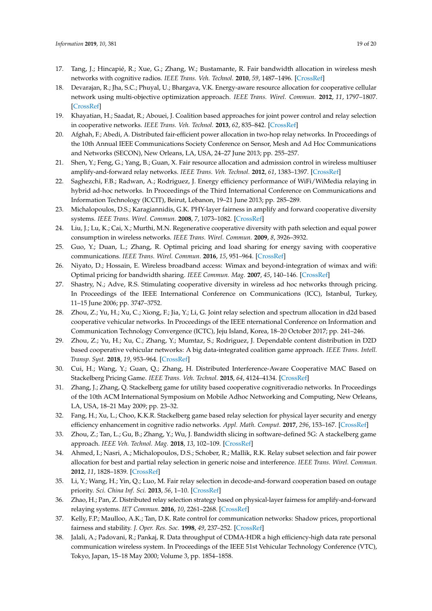- <span id="page-19-0"></span>17. Tang, J.; Hincapié, R.; Xue, G.; Zhang, W.; Bustamante, R. Fair bandwidth allocation in wireless mesh networks with cognitive radios. *IEEE Trans. Veh. Technol.* **2010**, *59*, 1487–1496. [\[CrossRef\]](http://dx.doi.org/10.1109/TVT.2009.2038478)
- <span id="page-19-1"></span>18. Devarajan, R.; Jha, S.C.; Phuyal, U.; Bhargava, V.K. Energy-aware resource allocation for cooperative cellular network using multi-objective optimization approach. *IEEE Trans. Wirel. Commun.* **2012**, *11*, 1797–1807. [\[CrossRef\]](http://dx.doi.org/10.1109/TWC.2012.030512.110895)
- <span id="page-19-9"></span>19. Khayatian, H.; Saadat, R.; Abouei, J. Coalition based approaches for joint power control and relay selection in cooperative networks. *IEEE Trans. Veh. Technol.* **2013**, *62*, 835–842. [\[CrossRef\]](http://dx.doi.org/10.1109/TVT.2012.2222681)
- 20. Afghah, F.; Abedi, A. Distributed fair-efficient power allocation in two-hop relay networks. In Proceedings of the 10th Annual IEEE Communications Society Conference on Sensor, Mesh and Ad Hoc Communications and Networks (SECON), New Orleans, LA, USA, 24–27 June 2013; pp. 255–257.
- <span id="page-19-2"></span>21. Shen, Y.; Feng, G.; Yang, B.; Guan, X. Fair resource allocation and admission control in wireless multiuser amplify-and-forward relay networks. *IEEE Trans. Veh. Technol.* **2012**, *61*, 1383–1397. [\[CrossRef\]](http://dx.doi.org/10.1109/TVT.2012.2183906)
- <span id="page-19-3"></span>22. Saghezchi, F.B.; Radwan, A.; Rodriguez, J. Energy efficiency performance of WiFi/WiMedia relaying in hybrid ad-hoc networks. In Proceedings of the Third International Conference on Communications and Information Technology (ICCIT), Beirut, Lebanon, 19–21 June 2013; pp. 285–289.
- <span id="page-19-4"></span>23. Michalopoulos, D.S.; Karagiannidis, G.K. PHY-layer fairness in amplify and forward cooperative diversity systems. *IEEE Trans. Wirel. Commun.* **2008**, *7*, 1073–1082. [\[CrossRef\]](http://dx.doi.org/10.1109/TWC.2008.060825)
- <span id="page-19-5"></span>24. Liu, J.; Lu, K.; Cai, X.; Murthi, M.N. Regenerative cooperative diversity with path selection and equal power consumption in wireless networks. *IEEE Trans. Wirel. Commun.* **2009**, *8*, 3926–3932.
- <span id="page-19-6"></span>25. Guo, Y.; Duan, L.; Zhang, R. Optimal pricing and load sharing for energy saving with cooperative communications. *IEEE Trans. Wirel. Commun.* **2016**, *15*, 951–964. [\[CrossRef\]](http://dx.doi.org/10.1109/TWC.2015.2480771)
- 26. Niyato, D.; Hossain, E. Wireless broadband access: Wimax and beyond-integration of wimax and wifi: Optimal pricing for bandwidth sharing. *IEEE Commun. Mag.* **2007**, *45*, 140–146. [\[CrossRef\]](http://dx.doi.org/10.1109/MCOM.2007.358861)
- <span id="page-19-7"></span>27. Shastry, N.; Adve, R.S. Stimulating cooperative diversity in wireless ad hoc networks through pricing. In Proceedings of the IEEE International Conference on Communications (ICC), Istanbul, Turkey, 11–15 June 2006; pp. 3747–3752.
- <span id="page-19-8"></span>28. Zhou, Z.; Yu, H.; Xu, C.; Xiong, F.; Jia, Y.; Li, G. Joint relay selection and spectrum allocation in d2d based cooperative vehicular networks. In Proceedings of the IEEE nternational Conference on Information and Communication Technology Convergence (ICTC), Jeju Island, Korea, 18–20 October 2017; pp. 241–246.
- <span id="page-19-10"></span>29. Zhou, Z.; Yu, H.; Xu, C.; Zhang, Y.; Mumtaz, S.; Rodriguez, J. Dependable content distribution in D2D based cooperative vehicular networks: A big data-integrated coalition game approach. *IEEE Trans. Intell. Transp. Syst.* **2018**, *19*, 953–964. [\[CrossRef\]](http://dx.doi.org/10.1109/TITS.2017.2771519)
- <span id="page-19-11"></span>30. Cui, H.; Wang, Y.; Guan, Q.; Zhang, H. Distributed Interference-Aware Cooperative MAC Based on Stackelberg Pricing Game. *IEEE Trans. Veh. Technol.* **2015**, *64*, 4124–4134. [\[CrossRef\]](http://dx.doi.org/10.1109/TVT.2014.2364734)
- 31. Zhang, J.; Zhang, Q. Stackelberg game for utility based cooperative cognitiveradio networks. In Proceedings of the 10th ACM International Symposium on Mobile Adhoc Networking and Computing, New Orleans, LA, USA, 18–21 May 2009; pp. 23–32.
- <span id="page-19-12"></span>32. Fang, H.; Xu, L.; Choo, K.K.R. Stackelberg game based relay selection for physical layer security and energy efficiency enhancement in cognitive radio networks. *Appl. Math. Comput.* **2017**, *296*, 153–167. [\[CrossRef\]](http://dx.doi.org/10.1016/j.amc.2016.10.022)
- <span id="page-19-13"></span>33. Zhou, Z.; Tan, L.; Gu, B.; Zhang, Y.; Wu, J. Bandwidth slicing in software-defined 5G: A stackelberg game approach. *IEEE Veh. Technol. Mag.* **2018**, *13*, 102–109. [\[CrossRef\]](http://dx.doi.org/10.1109/MVT.2018.2814022)
- <span id="page-19-14"></span>34. Ahmed, I.; Nasri, A.; Michalopoulos, D.S.; Schober, R.; Mallik, R.K. Relay subset selection and fair power allocation for best and partial relay selection in generic noise and interference. *IEEE Trans. Wirel. Commun.* **2012**, *11*, 1828–1839. [\[CrossRef\]](http://dx.doi.org/10.1109/TWC.2012.031212.111113)
- <span id="page-19-15"></span>35. Li, Y.; Wang, H.; Yin, Q.; Luo, M. Fair relay selection in decode-and-forward cooperation based on outage priority. *Sci. China Inf. Sci.* **2013**, *56*, 1–10. [\[CrossRef\]](http://dx.doi.org/10.1007/s11432-012-4658-8)
- <span id="page-19-16"></span>36. Zhao, H.; Pan, Z. Distributed relay selection strategy based on physical-layer fairness for amplify-and-forward relaying systems. *IET Commun.* **2016**, *10*, 2261–2268. [\[CrossRef\]](http://dx.doi.org/10.1049/iet-com.2016.0268)
- <span id="page-19-17"></span>37. Kelly, F.P.; Maulloo, A.K.; Tan, D.K. Rate control for communication networks: Shadow prices, proportional fairness and stability. *J. Oper. Res. Soc.* **1998**, *49*, 237–252. [\[CrossRef\]](http://dx.doi.org/10.1057/palgrave.jors.2600523)
- <span id="page-19-18"></span>38. Jalali, A.; Padovani, R.; Pankaj, R. Data throughput of CDMA-HDR a high efficiency-high data rate personal communication wireless system. In Proceedings of the IEEE 51st Vehicular Technology Conference (VTC), Tokyo, Japan, 15–18 May 2000; Volume 3, pp. 1854–1858.